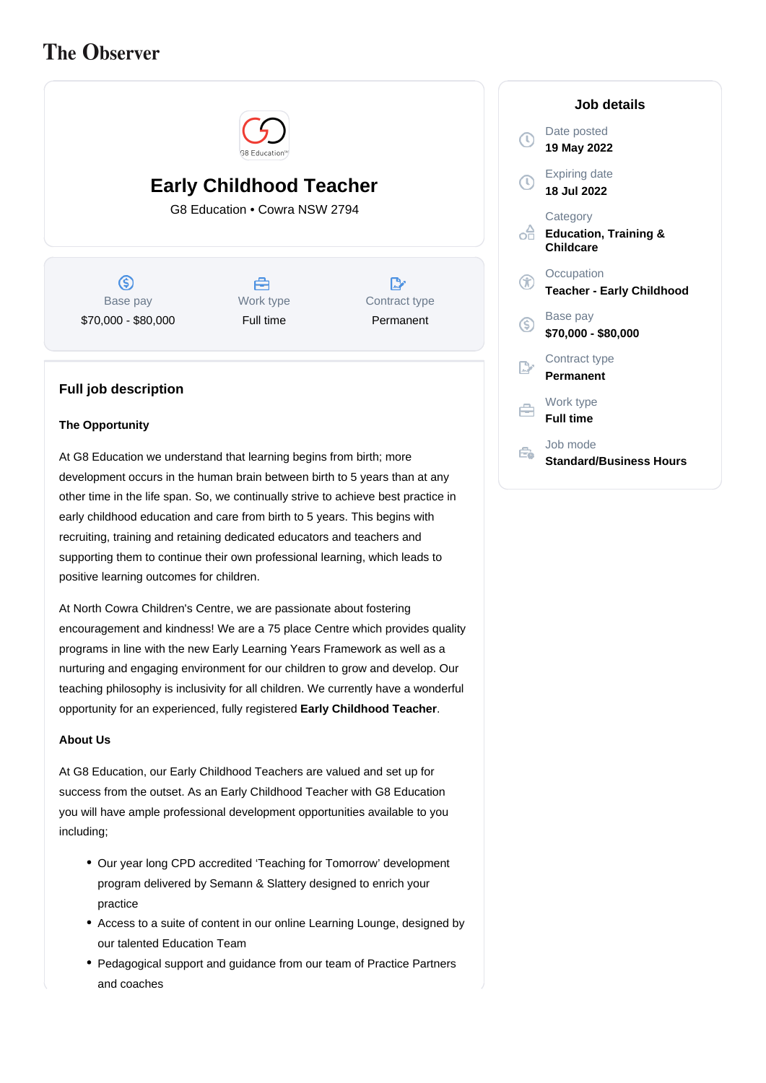# **The Observer**



## **Early Childhood Teacher**

G8 Education • Cowra NSW 2794

 $\circ$ Base pay \$70,000 - \$80,000



D, Contract type Permanent

### **Full job description**

#### **The Opportunity**

At G8 Education we understand that learning begins from birth; more development occurs in the human brain between birth to 5 years than at any other time in the life span. So, we continually strive to achieve best practice in early childhood education and care from birth to 5 years. This begins with recruiting, training and retaining dedicated educators and teachers and supporting them to continue their own professional learning, which leads to positive learning outcomes for children.

At North Cowra Children's Centre, we are passionate about fostering encouragement and kindness! We are a 75 place Centre which provides quality programs in line with the new Early Learning Years Framework as well as a nurturing and engaging environment for our children to grow and develop. Our teaching philosophy is inclusivity for all children. We currently have a wonderful opportunity for an experienced, fully registered **Early Childhood Teacher**.

#### **About Us**

At G8 Education, our Early Childhood Teachers are valued and set up for success from the outset. As an Early Childhood Teacher with G8 Education you will have ample professional development opportunities available to you including;

- Our year long CPD accredited 'Teaching for Tomorrow' development program delivered by Semann & Slattery designed to enrich your practice
- Access to a suite of content in our online Learning Lounge, designed by our talented Education Team
- Pedagogical support and guidance from our team of Practice Partners and coaches

|      | Job details                                                      |
|------|------------------------------------------------------------------|
| D    | Date posted<br>19 May 2022                                       |
| D    | <b>Expiring date</b><br>18 Jul 2022                              |
| റ്റി | Category<br><b>Education, Training &amp;</b><br><b>Childcare</b> |
| F    | Occupation<br><b>Teacher - Early Childhood</b>                   |
| G    | Base pay<br>\$70,000 - \$80,000                                  |
| 序    | Contract type<br><b>Permanent</b>                                |
| ≘    | Work type<br><b>Full time</b>                                    |
|      | Job mode<br><b>Standard/Business Hours</b>                       |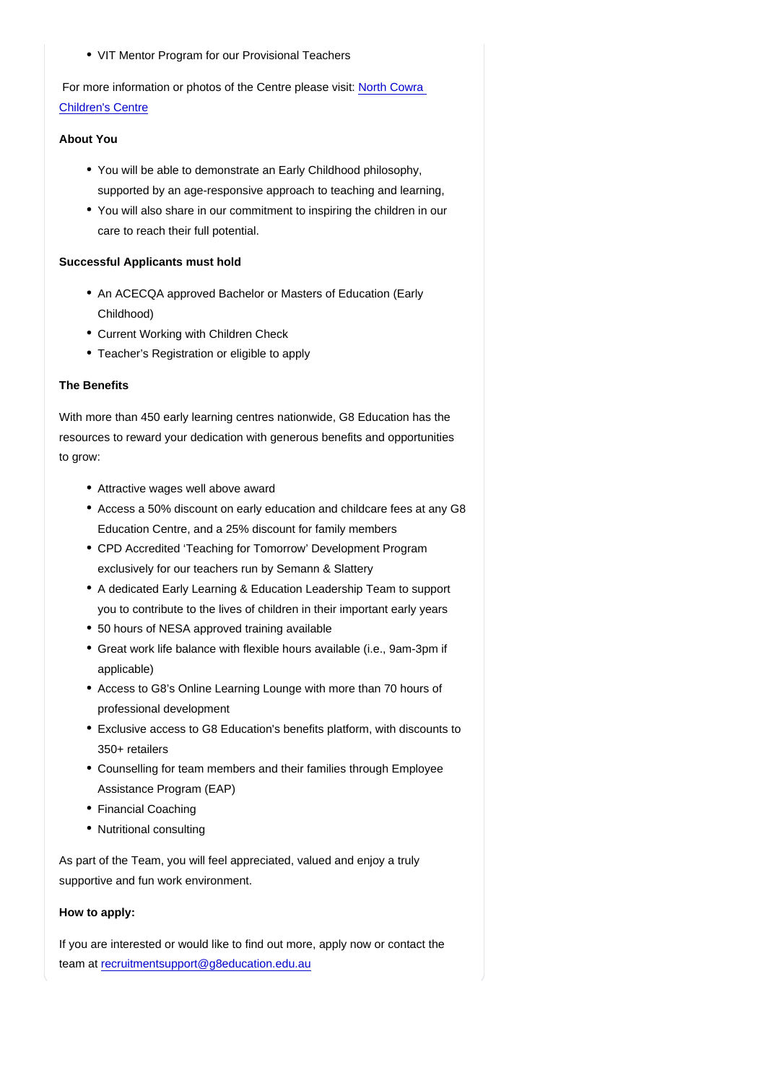• VIT Mentor Program for our Provisional Teachers

 For more information or photos of the Centre please visit: [North Cowra](https://www.nurtureone.com.au/centres/cowra-childcare/)  [Children's Centre](https://www.nurtureone.com.au/centres/cowra-childcare/)

#### About You

- You will be able to demonstrate an Early Childhood philosophy, supported by an age-responsive approach to teaching and learning,
- You will also share in our commitment to inspiring the children in our care to reach their full potential.

#### Successful Applicants must hold

- An ACECQA approved Bachelor or Masters of Education (Early Childhood)
- Current Working with Children Check
- Teacher's Registration or eligible to apply

#### The Benefits

With more than 450 early learning centres nationwide, G8 Education has the resources to reward your dedication with generous benefits and opportunities to grow:

- Attractive wages well above award
- Access a 50% discount on early education and childcare fees at any G8 Education Centre, and a 25% discount for family members
- CPD Accredited 'Teaching for Tomorrow' Development Program exclusively for our teachers run by Semann & Slattery
- A dedicated Early Learning & Education Leadership Team to support you to contribute to the lives of children in their important early years
- 50 hours of NESA approved training available
- Great work life balance with flexible hours available (i.e., 9am-3pm if applicable)
- Access to G8's Online Learning Lounge with more than 70 hours of professional development
- Exclusive access to G8 Education's benefits platform, with discounts to 350+ retailers
- Counselling for team members and their families through Employee Assistance Program (EAP)
- Financial Coaching
- Nutritional consulting

As part of the Team, you will feel appreciated, valued and enjoy a truly supportive and fun work environment.

#### How to apply:

If you are interested or would like to find out more, apply now or contact the team at [recruitmentsupport@g8education.edu.au](mailto:recruitmentsupport@g8education.edu.au)